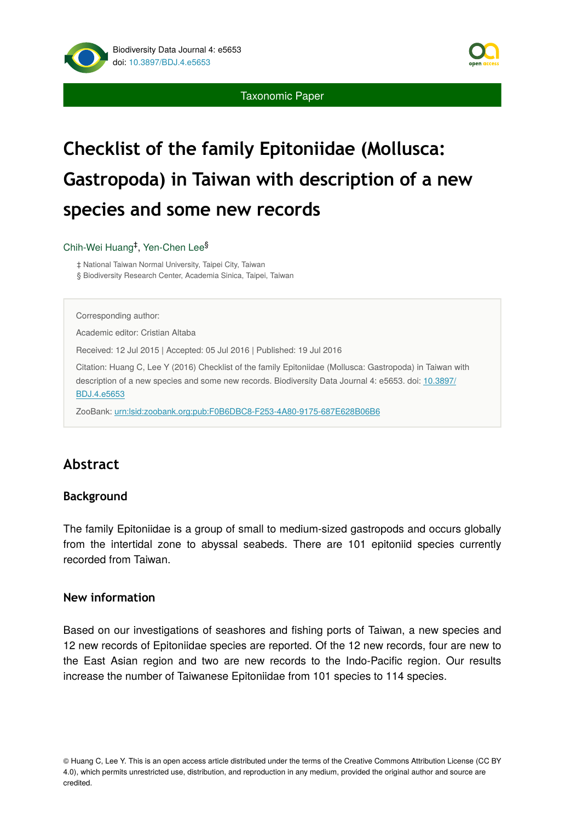Taxonomic Paper



# **species and some new records**

### Chih-Wei Huang<sup>‡</sup>, Yen-Chen Lee<sup>§</sup>

‡ National Taiwan Normal University, Taipei City, Taiwan § Biodiversity Research Center, Academia Sinica, Taipei, Taiwan

Corresponding author:

Academic editor: Cristian Altaba

Received: 12 Jul 2015 | Accepted: 05 Jul 2016 | Published: 19 Jul 2016

Citation: Huang C, Lee Y (2016) Checklist of the family Epitoniidae (Mollusca: Gastropoda) in Taiwan with description of a new species and some new records. Biodiversity Data Journal 4: e5653. doi: [10.3897/](http://dx.doi.org/10.3897/BDJ.4.e5653) [BDJ.4.e5653](http://dx.doi.org/10.3897/BDJ.4.e5653)

ZooBank: [urn:lsid:zoobank.org:pub:F0B6DBC8-F253-4A80-9175-687E628B06B6](http://zoobank.org/F0B6DBC8-F253-4A80-9175-687E628B06B6)

## **Abstract**

## **Background**

The family Epitoniidae is a group of small to medium-sized gastropods and occurs globally from the intertidal zone to abyssal seabeds. There are 101 epitoniid species currently recorded from Taiwan.

### **New information**

Based on our investigations of seashores and fishing ports of Taiwan, a new species and 12 new records of Epitoniidae species are reported. Of the 12 new records, four are new to the East Asian region and two are new records to the Indo-Pacific region. Our results increase the number of Taiwanese Epitoniidae from 101 species to 114 species.

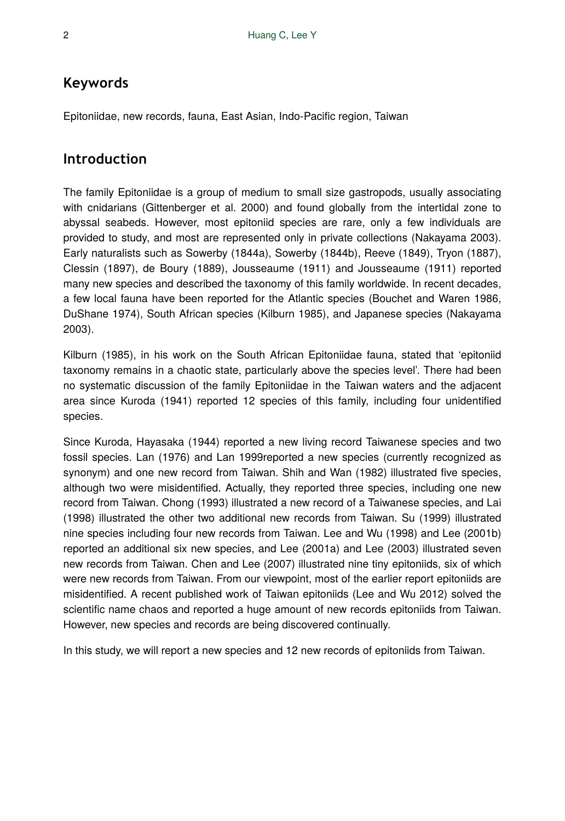## **Keywords**

Epitoniidae, new records, fauna, East Asian, Indo-Pacific region, Taiwan

## **Introduction**

The family Epitoniidae is a group of medium to small size gastropods, usually associating with cnidarians (Gittenberger et al. 2000) and found globally from the intertidal zone to abyssal seabeds. However, most epitoniid species are rare, only a few individuals are provided to study, and most are represented only in private collections (Nakayama 2003). Early naturalists such as Sowerby (1844a), Sowerby (1844b), Reeve (1849), Tryon (1887), Clessin (1897), de Boury (1889), Jousseaume (1911) and Jousseaume (1911) reported many new species and described the taxonomy of this family worldwide. In recent decades, a few local fauna have been reported for the Atlantic species (Bouchet and Waren 1986, DuShane 1974), South African species (Kilburn 1985), and Japanese species (Nakayama 2003).

Kilburn (1985), in his work on the South African Epitoniidae fauna, stated that 'epitoniid taxonomy remains in a chaotic state, particularly above the species level'. There had been no systematic discussion of the family Epitoniidae in the Taiwan waters and the adjacent area since Kuroda (1941) reported 12 species of this family, including four unidentified species.

Since Kuroda, Hayasaka (1944) reported a new living record Taiwanese species and two fossil species. Lan (1976) and Lan 1999reported a new species (currently recognized as synonym) and one new record from Taiwan. Shih and Wan (1982) illustrated five species, although two were misidentified. Actually, they reported three species, including one new record from Taiwan. Chong (1993) illustrated a new record of a Taiwanese species, and Lai (1998) illustrated the other two additional new records from Taiwan. Su (1999) illustrated nine species including four new records from Taiwan. Lee and Wu (1998) and Lee (2001b) reported an additional six new species, and Lee (2001a) and Lee (2003) illustrated seven new records from Taiwan. Chen and Lee (2007) illustrated nine tiny epitoniids, six of which were new records from Taiwan. From our viewpoint, most of the earlier report epitoniids are misidentified. A recent published work of Taiwan epitoniids (Lee and Wu 2012) solved the scientific name chaos and reported a huge amount of new records epitoniids from Taiwan. However, new species and records are being discovered continually.

In this study, we will report a new species and 12 new records of epitoniids from Taiwan.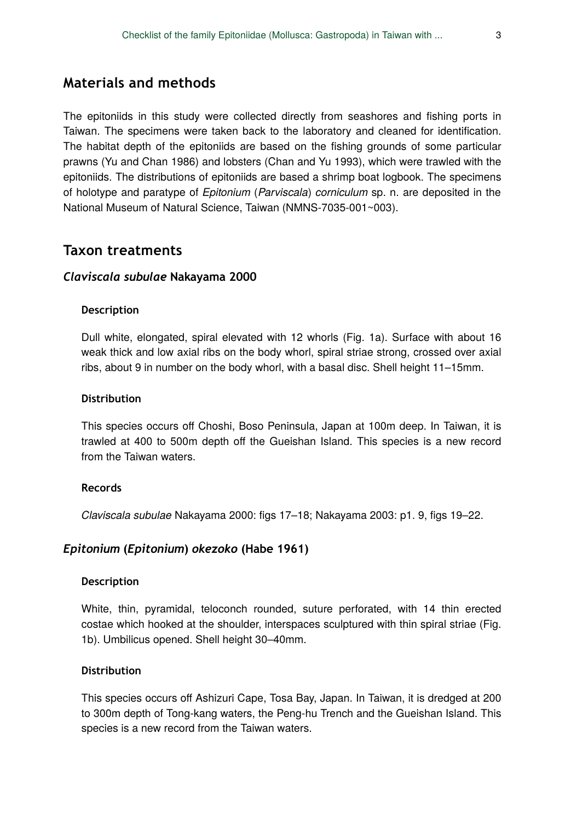## **Materials and methods**

The epitoniids in this study were collected directly from seashores and fishing ports in Taiwan. The specimens were taken back to the laboratory and cleaned for identification. The habitat depth of the epitoniids are based on the fishing grounds of some particular prawns (Yu and Chan 1986) and lobsters (Chan and Yu 1993), which were trawled with the epitoniids. The distributions of epitoniids are based a shrimp boat logbook. The specimens of holotype and paratype of *Epitonium* (*Parviscala*) *corniculum* sp. n. are deposited in the National Museum of Natural Science, Taiwan (NMNS-7035-001~003).

## **Taxon treatments**

### *Claviscala subulae* **Nakayama 2000**

#### **Description**

Dull white, elongated, spiral elevated with 12 whorls (Fig. 1a). Surface with about 16 weak thick and low axial ribs on the body whorl, spiral striae strong, crossed over axial ribs, about 9 in number on the body whorl, with a basal disc. Shell height 11–15mm.

### **Distribution**

This species occurs off Choshi, Boso Peninsula, Japan at 100m deep. In Taiwan, it is trawled at 400 to 500m depth off the Gueishan Island. This species is a new record from the Taiwan waters.

### **Records**

*Claviscala subulae* Nakayama 2000: figs 17–18; Nakayama 2003: p1. 9, figs 19–22.

### *Epitonium* **(***Epitonium***)** *okezoko* **(Habe 1961)**

### **Description**

White, thin, pyramidal, teloconch rounded, suture perforated, with 14 thin erected costae which hooked at the shoulder, interspaces sculptured with thin spiral striae (Fig. 1b). Umbilicus opened. Shell height 30–40mm.

### **Distribution**

This species occurs off Ashizuri Cape, Tosa Bay, Japan. In Taiwan, it is dredged at 200 to 300m depth of Tong-kang waters, the Peng-hu Trench and the Gueishan Island. This species is a new record from the Taiwan waters.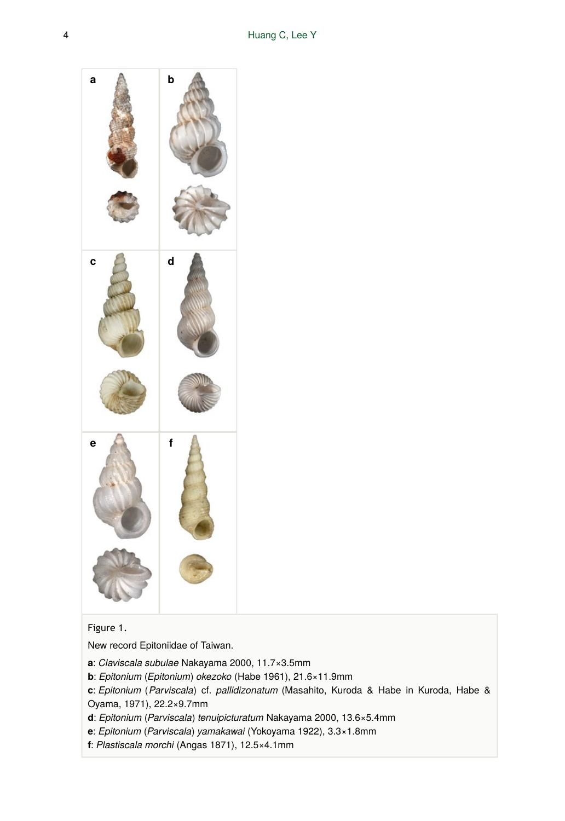

## Figure 1.

New record Epitoniidae of Taiwan.

- **a**: *Claviscala subulae* Nakayama 2000, 11.7×3.5mm
- **b**: *Epitonium* (*Epitonium*) *okezoko* (Habe 1961), 21.6×11.9mm
- **c**: *Epitonium* (*Parviscala*) cf. *pallidizonatum* (Masahito, Kuroda & Habe in Kuroda, Habe & Oyama, 1971), 22.2×9.7mm
- **d**: *Epitonium* (*Parviscala*) *tenuipicturatum* Nakayama 2000, 13.6×5.4mm
- **e**: *Epitonium* (*Parviscala*) *yamakawai* (Yokoyama 1922), 3.3×1.8mm
- **f**: *Plastiscala morchi* (Angas 1871), 12.5×4.1mm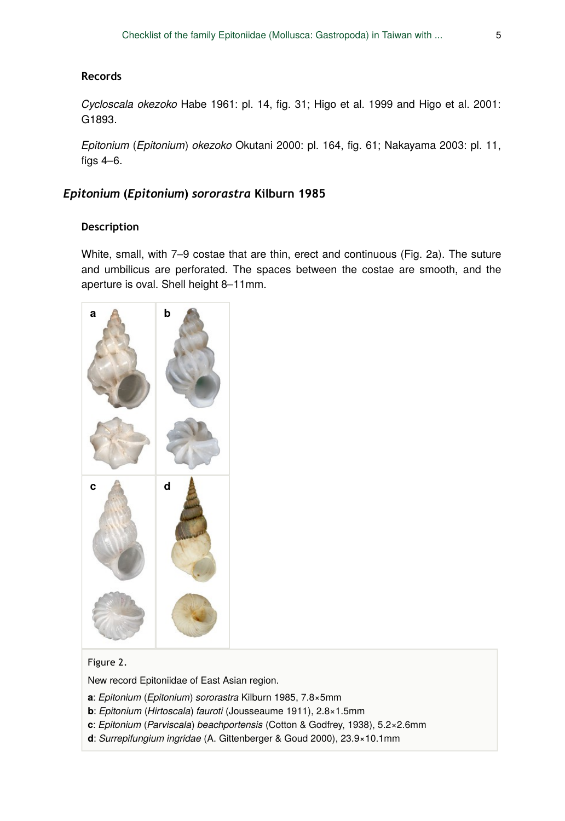### **Records**

*Cycloscala okezoko* Habe 1961: pl. 14, fig. 31; Higo et al. 1999 and Higo et al. 2001: G1893.

*Epitonium* (*Epitonium*) *okezoko* Okutani 2000: pl. 164, fig. 61; Nakayama 2003: pl. 11, figs 4–6.

## *Epitonium* **(***Epitonium***)** *sororastra* **Kilburn 1985**

### **Description**

White, small, with 7–9 costae that are thin, erect and continuous (Fig. 2a). The suture and umbilicus are perforated. The spaces between the costae are smooth, and the aperture is oval. Shell height 8–11mm.



### Figure 2.

New record Epitoniidae of East Asian region.

- **a**: *Epitonium* (*Epitonium*) *sororastra* Kilburn 1985, 7.8×5mm
- **b**: *Epitonium* (*Hirtoscala*) *fauroti* (Jousseaume 1911), 2.8×1.5mm
- **c**: *Epitonium* (*Parviscala*) *beachportensis* (Cotton & Godfrey, 1938), 5.2×2.6mm
- **d**: *Surrepifungium ingridae* (A. Gittenberger & Goud 2000), 23.9×10.1mm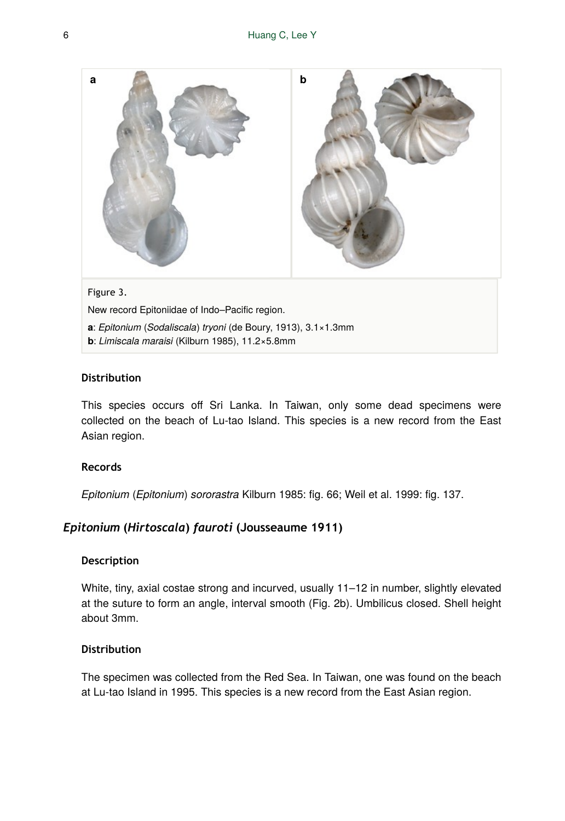

**b**: *Limiscala maraisi* (Kilburn 1985), 11.2×5.8mm

## **Distribution**

This species occurs off Sri Lanka. In Taiwan, only some dead specimens were collected on the beach of Lu-tao Island. This species is a new record from the East Asian region.

## **Records**

*Epitonium* (*Epitonium*) *sororastra* Kilburn 1985: fig. 66; Weil et al. 1999: fig. 137.

## *Epitonium* **(***Hirtoscala***)** *fauroti* **(Jousseaume 1911)**

#### **Description**

White, tiny, axial costae strong and incurved, usually 11-12 in number, slightly elevated at the suture to form an angle, interval smooth (Fig. 2b). Umbilicus closed. Shell height about 3mm.

### **Distribution**

The specimen was collected from the Red Sea. In Taiwan, one was found on the beach at Lu-tao Island in 1995. This species is a new record from the East Asian region.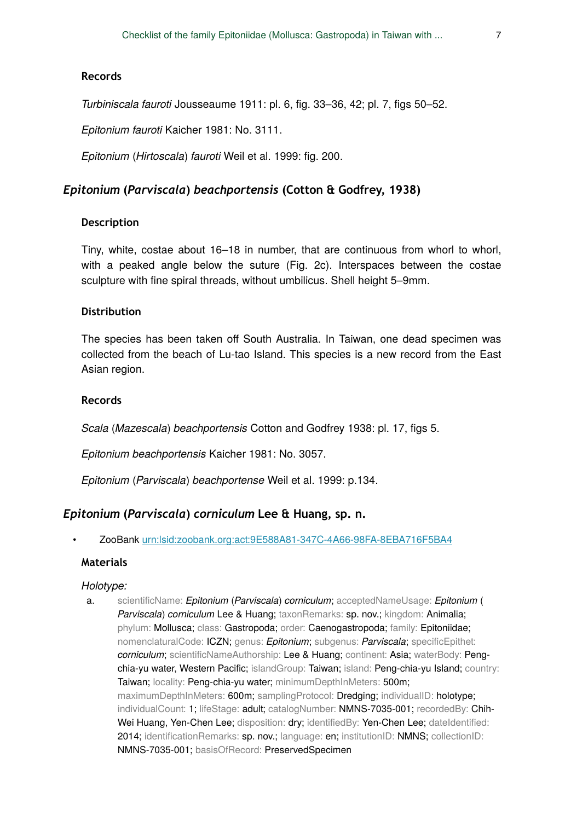### **Records**

*Turbiniscala fauroti* Jousseaume 1911: pl. 6, fig. 33–36, 42; pl. 7, figs 50–52.

*Epitonium fauroti* Kaicher 1981: No. 3111.

*Epitonium* (*Hirtoscala*) *fauroti* Weil et al. 1999: fig. 200.

### *Epitonium* **(***Parviscala***)** *beachportensis* **(Cotton & Godfrey, 1938)**

### **Description**

Tiny, white, costae about 16–18 in number, that are continuous from whorl to whorl, with a peaked angle below the suture (Fig. 2c). Interspaces between the costae sculpture with fine spiral threads, without umbilicus. Shell height 5–9mm.

#### **Distribution**

The species has been taken off South Australia. In Taiwan, one dead specimen was collected from the beach of Lu-tao Island. This species is a new record from the East Asian region.

### **Records**

*Scala* (*Mazescala*) *beachportensis* Cotton and Godfrey 1938: pl. 17, figs 5.

*Epitonium beachportensis* Kaicher 1981: No. 3057.

*Epitonium* (*Parviscala*) *beachportense* Weil et al. 1999: p.134.

#### *Epitonium* **(***Parviscala***)** *corniculum* **Lee & Huang, sp. n.**

• ZooBank [urn:lsid:zoobank.org:act:9E588A81-347C-4A66-98FA-8EBA716F5BA4](http://zoobank.org/9E588A81-347C-4A66-98FA-8EBA716F5BA4)

### **Materials**

#### *Holotype:*

a. scientificName: *Epitonium* (*Parviscala*) *corniculum*; acceptedNameUsage: *Epitonium* ( *Parviscala*) *corniculum* Lee & Huang; taxonRemarks: sp. nov.; kingdom: Animalia; phylum: Mollusca; class: Gastropoda; order: Caenogastropoda; family: Epitoniidae; nomenclaturalCode: ICZN; genus: *Epitonium*; subgenus: *Parviscala*; specificEpithet: *corniculum*; scientificNameAuthorship: Lee & Huang; continent: Asia; waterBody: Pengchia-yu water, Western Pacific; islandGroup: Taiwan; island: Peng-chia-yu Island; country: Taiwan; locality: Peng-chia-yu water; minimumDepthInMeters: 500m; maximumDepthInMeters: 600m; samplingProtocol: Dredging; individualID: holotype; individualCount: 1; lifeStage: adult; catalogNumber: NMNS-7035-001; recordedBy: Chih-Wei Huang, Yen-Chen Lee; disposition: dry; identifiedBy: Yen-Chen Lee; dateIdentified: 2014; identificationRemarks: sp. nov.; language: en; institutionID: NMNS; collectionID: NMNS-7035-001; basisOfRecord: PreservedSpecimen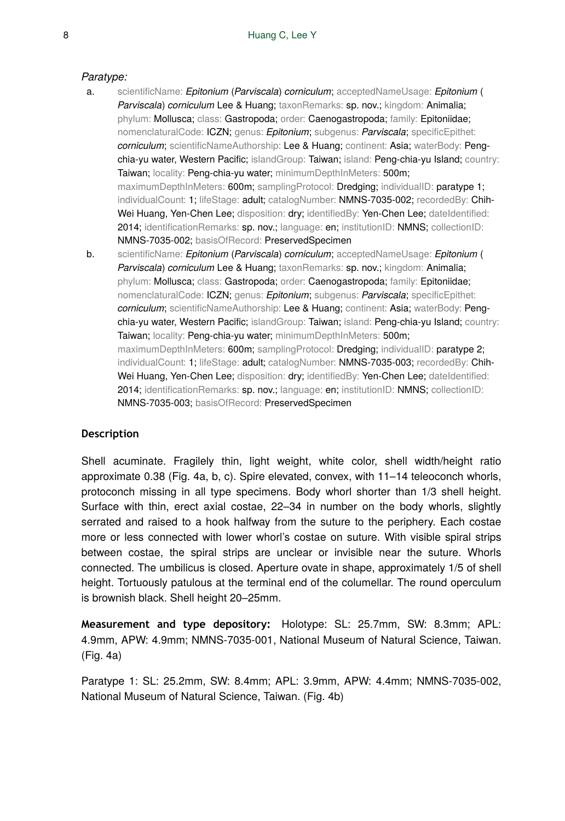### *Paratype:*

- a. scientificName: *Epitonium* (*Parviscala*) *corniculum*; acceptedNameUsage: *Epitonium* ( *Parviscala*) *corniculum* Lee & Huang; taxonRemarks: sp. nov.; kingdom: Animalia; phylum: Mollusca; class: Gastropoda; order: Caenogastropoda; family: Epitoniidae; nomenclaturalCode: ICZN; genus: *Epitonium*; subgenus: *Parviscala*; specificEpithet: *corniculum*; scientificNameAuthorship: Lee & Huang; continent: Asia; waterBody: Pengchia-yu water, Western Pacific; islandGroup: Taiwan; island: Peng-chia-yu Island; country: Taiwan; locality: Peng-chia-yu water; minimumDepthInMeters: 500m; maximumDepthInMeters: 600m; samplingProtocol: Dredging; individualID: paratype 1; individualCount: 1; lifeStage: adult; catalogNumber: NMNS-7035-002; recordedBy: Chih-Wei Huang, Yen-Chen Lee; disposition: dry; identifiedBy: Yen-Chen Lee; dateIdentified: 2014; identificationRemarks: sp. nov.; language: en; institutionID: NMNS; collectionID: NMNS-7035-002; basisOfRecord: PreservedSpecimen b. scientificName: *Epitonium* (*Parviscala*) *corniculum*; acceptedNameUsage: *Epitonium* (
- **Parviscala**) *corniculum* Lee & Huang; taxonRemarks: sp. nov.; kingdom: Animalia; phylum: Mollusca; class: Gastropoda; order: Caenogastropoda; family: Epitoniidae; nomenclaturalCode: ICZN; genus: *Epitonium*; subgenus: *Parviscala*; specificEpithet: *corniculum*; scientificNameAuthorship: Lee & Huang; continent: Asia; waterBody: Pengchia-yu water, Western Pacific; islandGroup: Taiwan; island: Peng-chia-yu Island; country: Taiwan; locality: Peng-chia-yu water; minimumDepthInMeters: 500m; maximumDepthInMeters: 600m; samplingProtocol: Dredging; individualID: paratype 2; individualCount: 1; lifeStage: adult; catalogNumber: NMNS-7035-003; recordedBy: Chih-Wei Huang, Yen-Chen Lee; disposition: dry; identifiedBy: Yen-Chen Lee; dateIdentified: 2014; identificationRemarks: sp. nov.; language: en; institutionID: NMNS; collectionID: NMNS-7035-003; basisOfRecord: PreservedSpecimen

## **Description**

Shell acuminate. Fragilely thin, light weight, white color, shell width/height ratio approximate 0.38 (Fig. 4a, b, c). Spire elevated, convex, with 11–14 teleoconch whorls, protoconch missing in all type specimens. Body whorl shorter than 1/3 shell height. Surface with thin, erect axial costae, 22–34 in number on the body whorls, slightly serrated and raised to a hook halfway from the suture to the periphery. Each costae more or less connected with lower whorl's costae on suture. With visible spiral strips between costae, the spiral strips are unclear or invisible near the suture. Whorls connected. The umbilicus is closed. Aperture ovate in shape, approximately 1/5 of shell height. Tortuously patulous at the terminal end of the columellar. The round operculum is brownish black. Shell height 20–25mm.

**Measurement and type depository:** Holotype: SL: 25.7mm, SW: 8.3mm; APL: 4.9mm, APW: 4.9mm; NMNS-7035-001, National Museum of Natural Science, Taiwan. (Fig. 4a)

Paratype 1: SL: 25.2mm, SW: 8.4mm; APL: 3.9mm, APW: 4.4mm; NMNS-7035-002, National Museum of Natural Science, Taiwan. (Fig. 4b)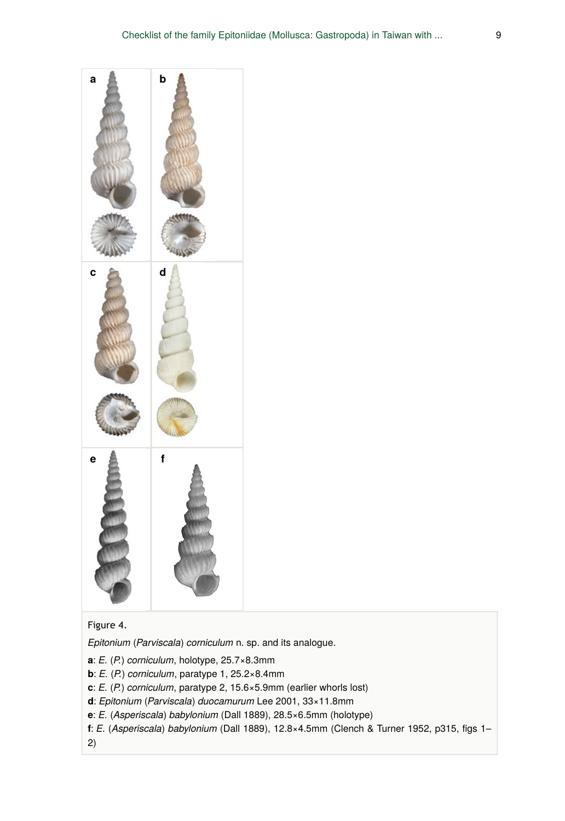

## Figure 4.

*Epitonium* (*Parviscala*) *corniculum* n. sp. and its analogue.

- **a**: *E.* (*P.*) *corniculum*, holotype, 25.7×8.3mm
- **b**: *E.* (*P.*) *corniculum*, paratype 1, 25.2×8.4mm
- **c**: *E.* (*P.*) *corniculum*, paratype 2, 15.6×5.9mm (earlier whorls lost)
- **d**: *Epitonium* (*Parviscala*) *duocamurum* Lee 2001, 33×11.8mm
- **e**: *E.* (*Asperiscala*) *babylonium* (Dall 1889), 28.5×6.5mm (holotype)
- **f**: *E.* (*Asperiscala*) *babylonium* (Dall 1889), 12.8×4.5mm (Clench & Turner 1952, p315, figs 1–
- 2)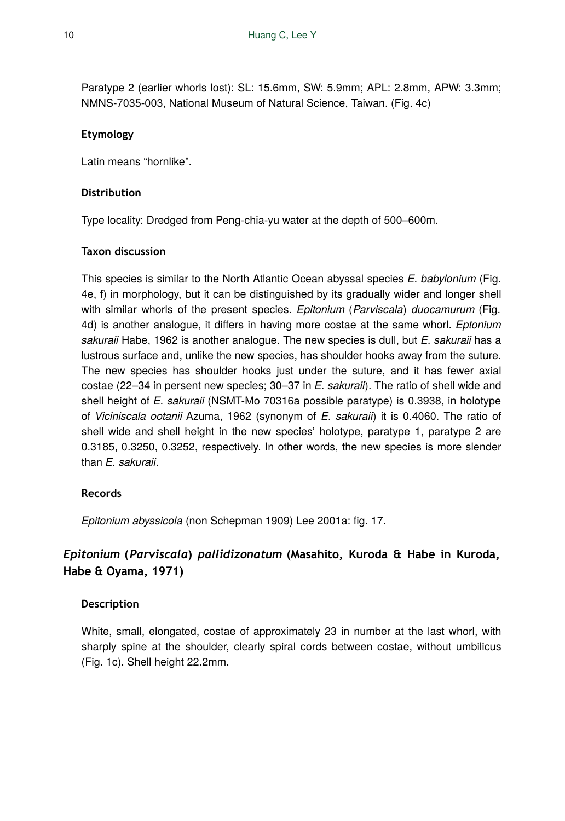Paratype 2 (earlier whorls lost): SL: 15.6mm, SW: 5.9mm; APL: 2.8mm, APW: 3.3mm; NMNS-7035-003, National Museum of Natural Science, Taiwan. (Fig. 4c)

## **Etymology**

Latin means "hornlike".

## **Distribution**

Type locality: Dredged from Peng-chia-yu water at the depth of 500–600m.

### **Taxon discussion**

This species is similar to the North Atlantic Ocean abyssal species *E. babylonium* (Fig. 4e, f) in morphology, but it can be distinguished by its gradually wider and longer shell with similar whorls of the present species. *Epitonium* (*Parviscala*) *duocamurum* (Fig. 4d) is another analogue, it differs in having more costae at the same whorl. *Eptonium sakuraii* Habe, 1962 is another analogue. The new species is dull, but *E. sakuraii* has a lustrous surface and, unlike the new species, has shoulder hooks away from the suture. The new species has shoulder hooks just under the suture, and it has fewer axial costae (22–34 in persent new species; 30–37 in *E. sakuraii*). The ratio of shell wide and shell height of *E. sakuraii* (NSMT-Mo 70316a possible paratype) is 0.3938, in holotype of *Viciniscala ootanii* Azuma, 1962 (synonym of *E. sakuraii*) it is 0.4060. The ratio of shell wide and shell height in the new species' holotype, paratype 1, paratype 2 are 0.3185, 0.3250, 0.3252, respectively. In other words, the new species is more slender than *E. sakuraii*.

## **Records**

*Epitonium abyssicola* (non Schepman 1909) Lee 2001a: fig. 17.

## *Epitonium* **(***Parviscala***)** *pallidizonatum* **(Masahito, Kuroda & Habe in Kuroda, Habe & Oyama, 1971)**

## **Description**

White, small, elongated, costae of approximately 23 in number at the last whorl, with sharply spine at the shoulder, clearly spiral cords between costae, without umbilicus (Fig. 1c). Shell height 22.2mm.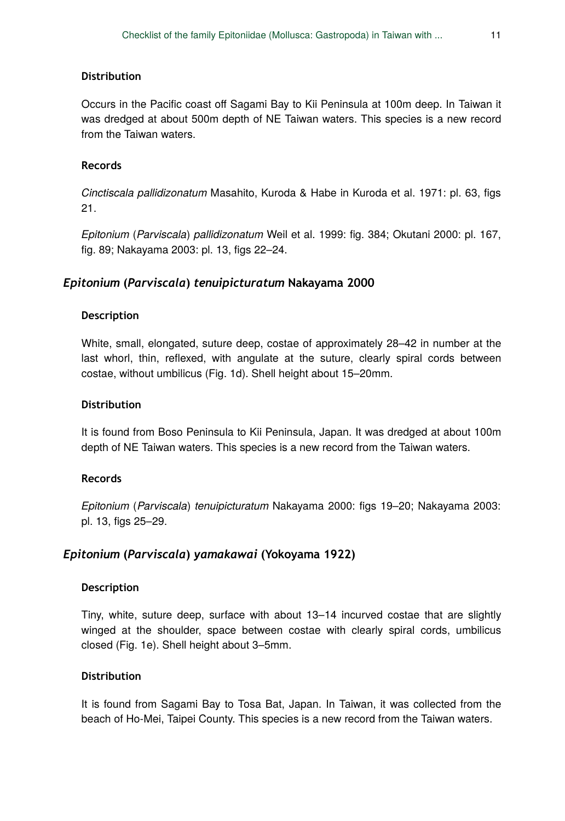### **Distribution**

Occurs in the Pacific coast off Sagami Bay to Kii Peninsula at 100m deep. In Taiwan it was dredged at about 500m depth of NE Taiwan waters. This species is a new record from the Taiwan waters.

### **Records**

*Cinctiscala pallidizonatum* Masahito, Kuroda & Habe in Kuroda et al. 1971: pl. 63, figs 21.

*Epitonium* (*Parviscala*) *pallidizonatum* Weil et al. 1999: fig. 384; Okutani 2000: pl. 167, fig. 89; Nakayama 2003: pl. 13, figs 22–24.

### *Epitonium* **(***Parviscala***)** *tenuipicturatum* **Nakayama 2000**

### **Description**

White, small, elongated, suture deep, costae of approximately 28–42 in number at the last whorl, thin, reflexed, with angulate at the suture, clearly spiral cords between costae, without umbilicus (Fig. 1d). Shell height about 15–20mm.

### **Distribution**

It is found from Boso Peninsula to Kii Peninsula, Japan. It was dredged at about 100m depth of NE Taiwan waters. This species is a new record from the Taiwan waters.

### **Records**

*Epitonium* (*Parviscala*) *tenuipicturatum* Nakayama 2000: figs 19–20; Nakayama 2003: pl. 13, figs 25–29.

### *Epitonium* **(***Parviscala***)** *yamakawai* **(Yokoyama 1922)**

#### **Description**

Tiny, white, suture deep, surface with about 13–14 incurved costae that are slightly winged at the shoulder, space between costae with clearly spiral cords, umbilicus closed (Fig. 1e). Shell height about 3–5mm.

#### **Distribution**

It is found from Sagami Bay to Tosa Bat, Japan. In Taiwan, it was collected from the beach of Ho-Mei, Taipei County. This species is a new record from the Taiwan waters.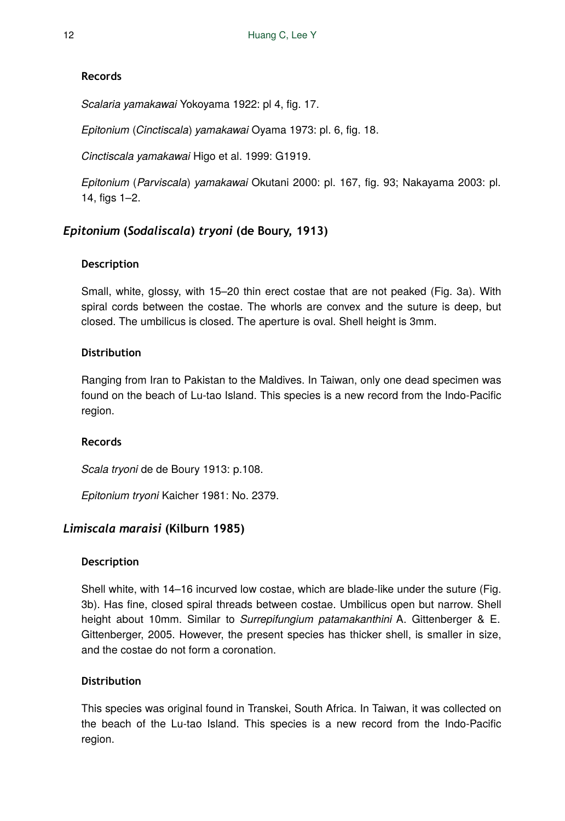## **Records**

*Scalaria yamakawai* Yokoyama 1922: pl 4, fig. 17.

*Epitonium* (*Cinctiscala*) *yamakawai* Oyama 1973: pl. 6, fig. 18.

*Cinctiscala yamakawai* Higo et al. 1999: G1919.

*Epitonium* (*Parviscala*) *yamakawai* Okutani 2000: pl. 167, fig. 93; Nakayama 2003: pl. 14, figs 1–2.

## *Epitonium* **(***Sodaliscala***)** *tryoni* **(de Boury, 1913)**

## **Description**

Small, white, glossy, with 15–20 thin erect costae that are not peaked (Fig. 3a). With spiral cords between the costae. The whorls are convex and the suture is deep, but closed. The umbilicus is closed. The aperture is oval. Shell height is 3mm.

## **Distribution**

Ranging from Iran to Pakistan to the Maldives. In Taiwan, only one dead specimen was found on the beach of Lu-tao Island. This species is a new record from the Indo-Pacific region.

## **Records**

*Scala tryoni* de de Boury 1913: p.108.

*Epitonium tryoni* Kaicher 1981: No. 2379.

## *Limiscala maraisi* **(Kilburn 1985)**

## **Description**

Shell white, with 14–16 incurved low costae, which are blade-like under the suture (Fig. 3b). Has fine, closed spiral threads between costae. Umbilicus open but narrow. Shell height about 10mm. Similar to *Surrepifungium patamakanthini* A. Gittenberger & E. Gittenberger, 2005. However, the present species has thicker shell, is smaller in size, and the costae do not form a coronation.

## **Distribution**

This species was original found in Transkei, South Africa. In Taiwan, it was collected on the beach of the Lu-tao Island. This species is a new record from the Indo-Pacific region.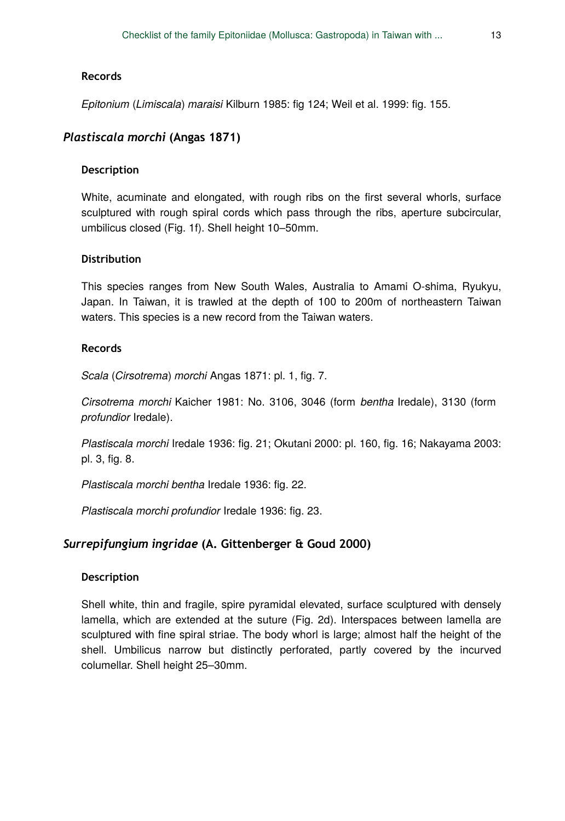#### **Records**

*Epitonium* (*Limiscala*) *maraisi* Kilburn 1985: fig 124; Weil et al. 1999: fig. 155.

## *Plastiscala morchi* **(Angas 1871)**

### **Description**

White, acuminate and elongated, with rough ribs on the first several whorls, surface sculptured with rough spiral cords which pass through the ribs, aperture subcircular, umbilicus closed (Fig. 1f). Shell height 10–50mm.

### **Distribution**

This species ranges from New South Wales, Australia to Amami O-shima, Ryukyu, Japan. In Taiwan, it is trawled at the depth of 100 to 200m of northeastern Taiwan waters. This species is a new record from the Taiwan waters.

### **Records**

*Scala* (*Cirsotrema*) *morchi* Angas 1871: pl. 1, fig. 7.

*Cirsotrema morchi* Kaicher 1981: No. 3106, 3046 (form *bentha* Iredale), 3130 (form *profundior* Iredale).

*Plastiscala morchi* Iredale 1936: fig. 21; Okutani 2000: pl. 160, fig. 16; Nakayama 2003: pl. 3, fig. 8.

*Plastiscala morchi bentha* Iredale 1936: fig. 22.

*Plastiscala morchi profundior* Iredale 1936: fig. 23.

### *Surrepifungium ingridae* **(A. Gittenberger & Goud 2000)**

#### **Description**

Shell white, thin and fragile, spire pyramidal elevated, surface sculptured with densely lamella, which are extended at the suture (Fig. 2d). Interspaces between lamella are sculptured with fine spiral striae. The body whorl is large; almost half the height of the shell. Umbilicus narrow but distinctly perforated, partly covered by the incurved columellar. Shell height 25–30mm.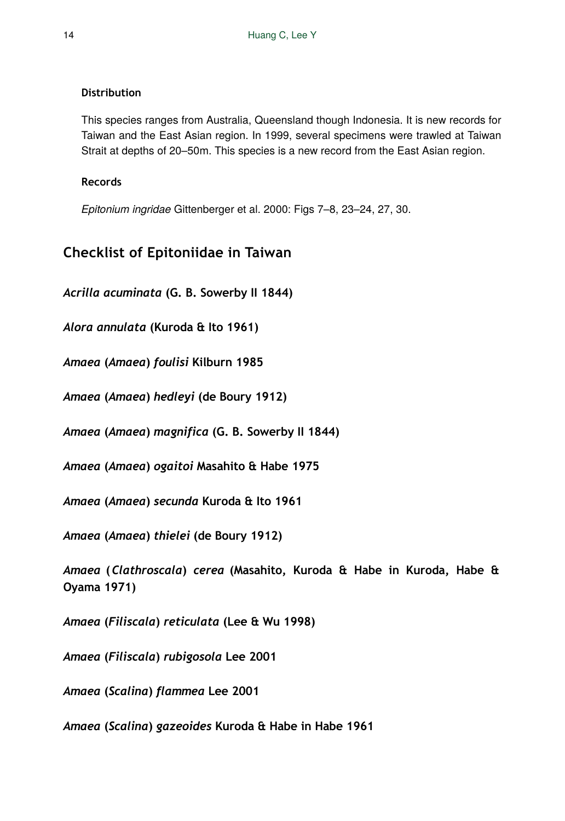## **Distribution**

This species ranges from Australia, Queensland though Indonesia. It is new records for Taiwan and the East Asian region. In 1999, several specimens were trawled at Taiwan Strait at depths of 20–50m. This species is a new record from the East Asian region.

## **Records**

*Epitonium ingridae* Gittenberger et al. 2000: Figs 7–8, 23–24, 27, 30.

## **Checklist of Epitoniidae in Taiwan**

*Acrilla acuminata* **(G. B. Sowerby II 1844)** 

*Alora annulata* **(Kuroda & Ito 1961)** 

*Amaea* **(***Amaea***)** *foulisi* **Kilburn 1985** 

*Amaea* **(***Amaea***)** *hedleyi* **(de Boury 1912)** 

*Amaea* **(***Amaea***)** *magnifica* **(G. B. Sowerby II 1844)** 

*Amaea* **(***Amaea***)** *ogaitoi* **Masahito & Habe 1975** 

*Amaea* **(***Amaea***)** *secunda* **Kuroda & Ito 1961** 

*Amaea* **(***Amaea***)** *thielei* **(de Boury 1912)** 

*Amaea* **(***Clathroscala***)** *cerea* **(Masahito, Kuroda & Habe in Kuroda, Habe & Oyama 1971)** 

*Amaea* **(***Filiscala***)** *reticulata* **(Lee & Wu 1998)** 

*Amaea* **(***Filiscala***)** *rubigosola* **Lee 2001** 

*Amaea* **(***Scalina***)** *flammea* **Lee 2001** 

*Amaea* **(***Scalina***)** *gazeoides* **Kuroda & Habe in Habe 1961**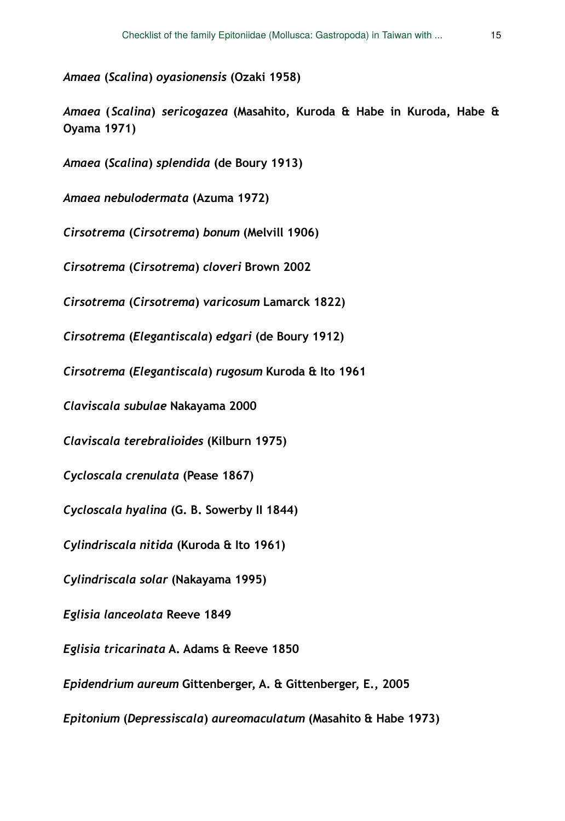*Amaea* **(***Scalina***)** *oyasionensis* **(Ozaki 1958)** 

*Amaea* **(***Scalina***)** *sericogazea* **(Masahito, Kuroda & Habe in Kuroda, Habe & Oyama 1971)** 

*Amaea* **(***Scalina***)** *splendida* **(de Boury 1913)** 

*Amaea nebulodermata* **(Azuma 1972)** 

*Cirsotrema* **(***Cirsotrema***)** *bonum* **(Melvill 1906)** 

*Cirsotrema* **(***Cirsotrema***)** *cloveri* **Brown 2002** 

*Cirsotrema* **(***Cirsotrema***)** *varicosum* **Lamarck 1822)** 

*Cirsotrema* **(***Elegantiscala***)** *edgari* **(de Boury 1912)** 

*Cirsotrema* **(***Elegantiscala***)** *rugosum* **Kuroda & Ito 1961** 

*Claviscala subulae* **Nakayama 2000** 

*Claviscala terebralioides* **(Kilburn 1975)** 

*Cycloscala crenulata* **(Pease 1867)** 

*Cycloscala hyalina* **(G. B. Sowerby II 1844)** 

*Cylindriscala nitida* **(Kuroda & Ito 1961)** 

*Cylindriscala solar* **(Nakayama 1995)** 

*Eglisia lanceolata* **Reeve 1849** 

*Eglisia tricarinata* **A. Adams & Reeve 1850** 

*Epidendrium aureum* **Gittenberger, A. & Gittenberger, E., 2005** 

*Epitonium* **(***Depressiscala***)** *aureomaculatum* **(Masahito & Habe 1973)**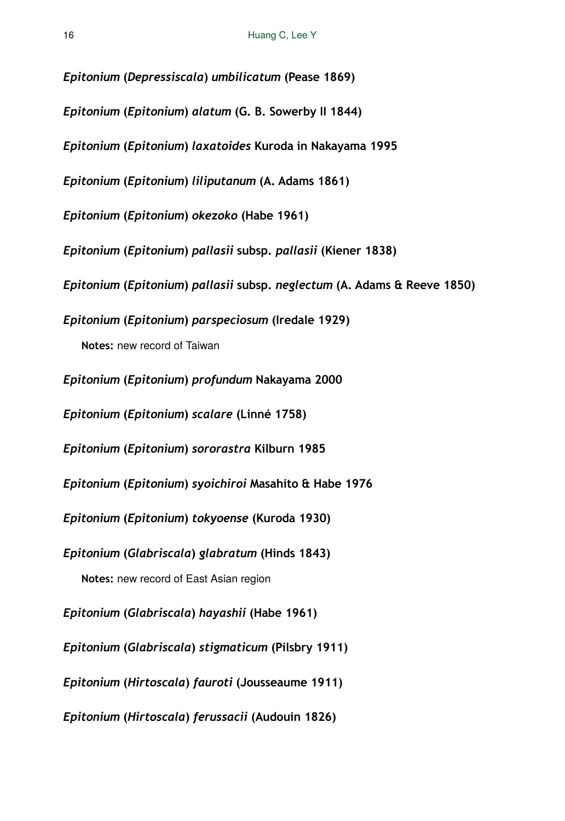*Epitonium* **(***Depressiscala***)** *umbilicatum* **(Pease 1869)**  *Epitonium* **(***Epitonium***)** *alatum* **(G. B. Sowerby II 1844)**  *Epitonium* **(***Epitonium***)** *laxatoides* **Kuroda in Nakayama 1995**  *Epitonium* **(***Epitonium***)** *liliputanum* **(A. Adams 1861)**  *Epitonium* **(***Epitonium***)** *okezoko* **(Habe 1961)**  *Epitonium* **(***Epitonium***)** *pallasii* **subsp.** *pallasii* **(Kiener 1838)**  *Epitonium* **(***Epitonium***)** *pallasii* **subsp.** *neglectum* **(A. Adams & Reeve 1850)**  *Epitonium* **(***Epitonium***)** *parspeciosum* **(Iredale 1929) Notes:** new record of Taiwan *Epitonium* **(***Epitonium***)** *profundum* **Nakayama 2000**  *Epitonium* **(***Epitonium***)** *scalare* **(Linné 1758)**  *Epitonium* **(***Epitonium***)** *sororastra* **Kilburn 1985**  *Epitonium* **(***Epitonium***)** *syoichiroi* **Masahito & Habe 1976**  *Epitonium* **(***Epitonium***)** *tokyoense* **(Kuroda 1930)**  *Epitonium* **(***Glabriscala***)** *glabratum* **(Hinds 1843) Notes:** new record of East Asian region *Epitonium* **(***Glabriscala***)** *hayashii* **(Habe 1961)**  *Epitonium* **(***Glabriscala***)** *stigmaticum* **(Pilsbry 1911)**  *Epitonium* **(***Hirtoscala***)** *fauroti* **(Jousseaume 1911)**  *Epitonium* **(***Hirtoscala***)** *ferussacii* **(Audouin 1826)**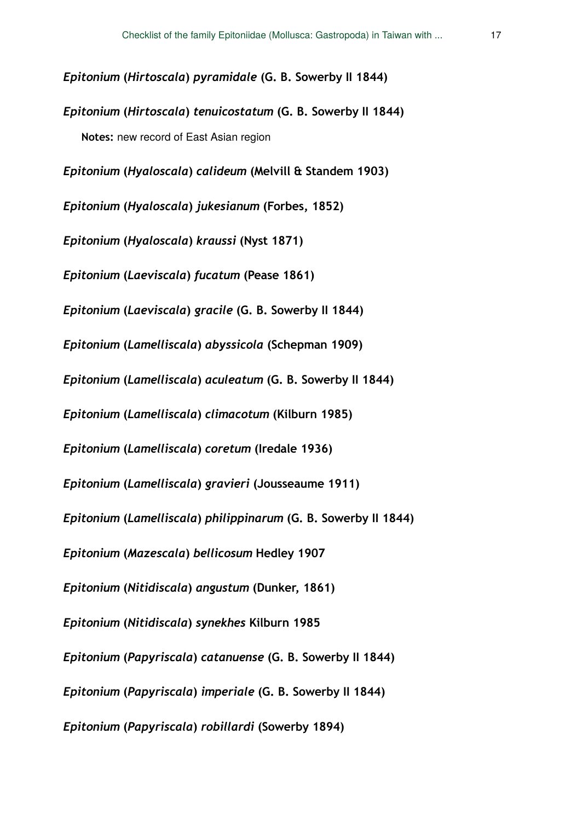*Epitonium* **(***Hirtoscala***)** *pyramidale* **(G. B. Sowerby II 1844)**  *Epitonium* **(***Hirtoscala***)** *tenuicostatum* **(G. B. Sowerby II 1844) Notes:** new record of East Asian region *Epitonium* **(***Hyaloscala***)** *calideum* **(Melvill & Standem 1903)**  *Epitonium* **(***Hyaloscala***)** *jukesianum* **(Forbes, 1852)**  *Epitonium* **(***Hyaloscala***)** *kraussi* **(Nyst 1871)**  *Epitonium* **(***Laeviscala***)** *fucatum* **(Pease 1861)**  *Epitonium* **(***Laeviscala***)** *gracile* **(G. B. Sowerby II 1844)**  *Epitonium* **(***Lamelliscala***)** *abyssicola* **(Schepman 1909)**  *Epitonium* **(***Lamelliscala***)** *aculeatum* **(G. B. Sowerby II 1844)**  *Epitonium* **(***Lamelliscala***)** *climacotum* **(Kilburn 1985)**  *Epitonium* **(***Lamelliscala***)** *coretum* **(Iredale 1936)**  *Epitonium* **(***Lamelliscala***)** *gravieri* **(Jousseaume 1911)**  *Epitonium* **(***Lamelliscala***)** *philippinarum* **(G. B. Sowerby II 1844)**  *Epitonium* **(***Mazescala***)** *bellicosum* **Hedley 1907**  *Epitonium* **(***Nitidiscala***)** *angustum* **(Dunker, 1861)**  *Epitonium* **(***Nitidiscala***)** *synekhes* **Kilburn 1985**  *Epitonium* **(***Papyriscala***)** *catanuense* **(G. B. Sowerby II 1844)**  *Epitonium* **(***Papyriscala***)** *imperiale* **(G. B. Sowerby II 1844)**  *Epitonium* **(***Papyriscala***)** *robillardi* **(Sowerby 1894)**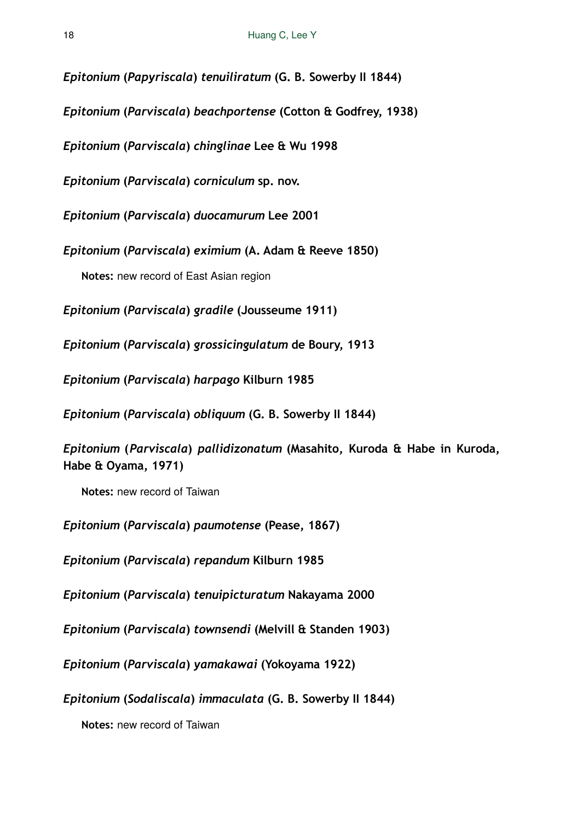*Epitonium* **(***Papyriscala***)** *tenuiliratum* **(G. B. Sowerby II 1844)** 

*Epitonium* **(***Parviscala***)** *beachportense* **(Cotton & Godfrey, 1938)** 

*Epitonium* **(***Parviscala***)** *chinglinae* **Lee & Wu 1998** 

*Epitonium* **(***Parviscala***)** *corniculum* **sp. nov.** 

*Epitonium* **(***Parviscala***)** *duocamurum* **Lee 2001** 

*Epitonium* **(***Parviscala***)** *eximium* **(A. Adam & Reeve 1850)** 

**Notes:** new record of East Asian region

*Epitonium* **(***Parviscala***)** *gradile* **(Jousseume 1911)** 

*Epitonium* **(***Parviscala***)** *grossicingulatum* **de Boury, 1913** 

*Epitonium* **(***Parviscala***)** *harpago* **Kilburn 1985** 

*Epitonium* **(***Parviscala***)** *obliquum* **(G. B. Sowerby II 1844)** 

*Epitonium* **(***Parviscala***)** *pallidizonatum* **(Masahito, Kuroda & Habe in Kuroda, Habe & Oyama, 1971)** 

**Notes:** new record of Taiwan

*Epitonium* **(***Parviscala***)** *paumotense* **(Pease, 1867)** 

*Epitonium* **(***Parviscala***)** *repandum* **Kilburn 1985** 

*Epitonium* **(***Parviscala***)** *tenuipicturatum* **Nakayama 2000** 

*Epitonium* **(***Parviscala***)** *townsendi* **(Melvill & Standen 1903)** 

*Epitonium* **(***Parviscala***)** *yamakawai* **(Yokoyama 1922)** 

*Epitonium* **(***Sodaliscala***)** *immaculata* **(G. B. Sowerby II 1844)** 

**Notes:** new record of Taiwan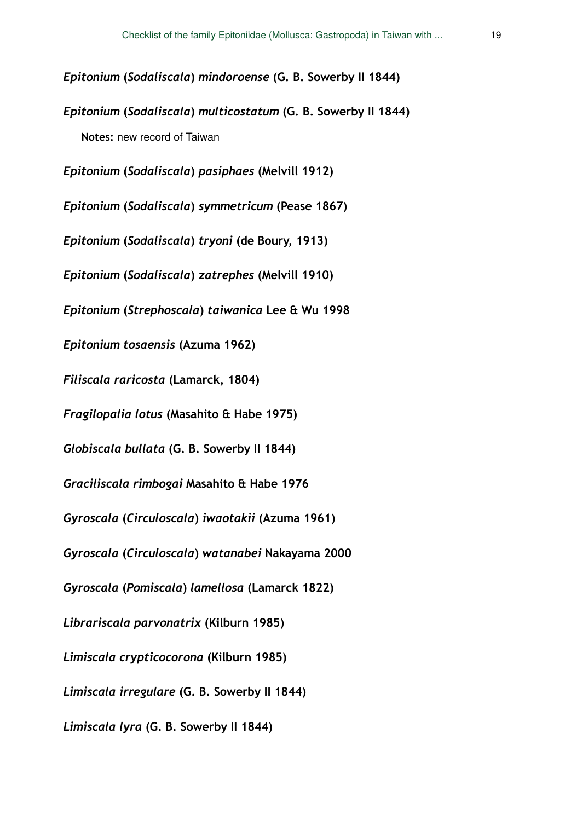*Epitonium* **(***Sodaliscala***)** *mindoroense* **(G. B. Sowerby II 1844)** 

*Epitonium* **(***Sodaliscala***)** *multicostatum* **(G. B. Sowerby II 1844)** 

**Notes:** new record of Taiwan

*Epitonium* **(***Sodaliscala***)** *pasiphaes* **(Melvill 1912)** 

*Epitonium* **(***Sodaliscala***)** *symmetricum* **(Pease 1867)** 

*Epitonium* **(***Sodaliscala***)** *tryoni* **(de Boury, 1913)** 

*Epitonium* **(***Sodaliscala***)** *zatrephes* **(Melvill 1910)** 

*Epitonium* **(***Strephoscala***)** *taiwanica* **Lee & Wu 1998** 

*Epitonium tosaensis* **(Azuma 1962)** 

*Filiscala raricosta* **(Lamarck, 1804)** 

*Fragilopalia lotus* **(Masahito & Habe 1975)** 

*Globiscala bullata* **(G. B. Sowerby II 1844)** 

*Graciliscala rimbogai* **Masahito & Habe 1976** 

*Gyroscala* **(***Circuloscala***)** *iwaotakii* **(Azuma 1961)** 

*Gyroscala* **(***Circuloscala***)** *watanabei* **Nakayama 2000** 

*Gyroscala* **(***Pomiscala***)** *lamellosa* **(Lamarck 1822)** 

*Librariscala parvonatrix* **(Kilburn 1985)** 

*Limiscala crypticocorona* **(Kilburn 1985)** 

*Limiscala irregulare* **(G. B. Sowerby II 1844)** 

*Limiscala lyra* **(G. B. Sowerby II 1844)**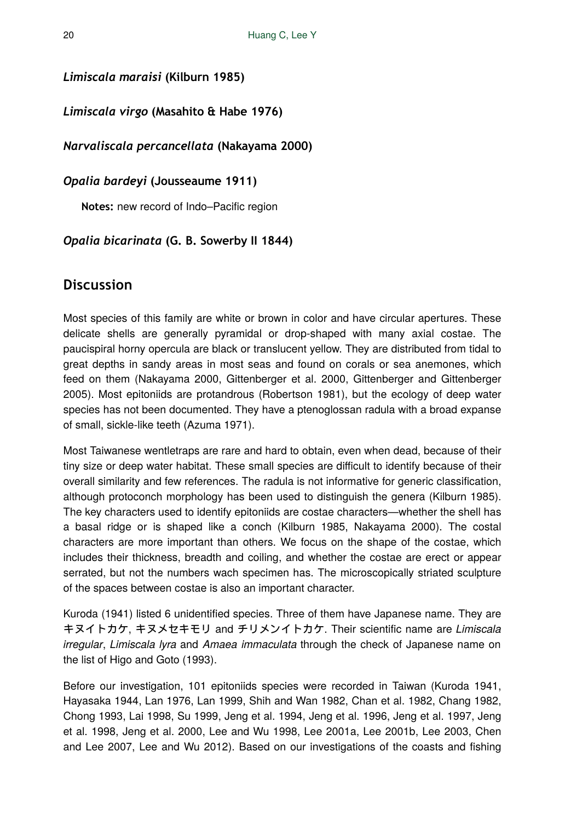*Limiscala maraisi* **(Kilburn 1985)** 

*Limiscala virgo* **(Masahito & Habe 1976)** 

*Narvaliscala percancellata* **(Nakayama 2000)** 

*Opalia bardeyi* **(Jousseaume 1911)** 

**Notes:** new record of Indo–Pacific region

## *Opalia bicarinata* **(G. B. Sowerby II 1844)**

## **Discussion**

Most species of this family are white or brown in color and have circular apertures. These delicate shells are generally pyramidal or drop-shaped with many axial costae. The paucispiral horny opercula are black or translucent yellow. They are distributed from tidal to great depths in sandy areas in most seas and found on corals or sea anemones, which feed on them (Nakayama 2000, Gittenberger et al. 2000, Gittenberger and Gittenberger 2005). Most epitoniids are protandrous (Robertson 1981), but the ecology of deep water species has not been documented. They have a ptenoglossan radula with a broad expanse of small, sickle-like teeth (Azuma 1971).

Most Taiwanese wentletraps are rare and hard to obtain, even when dead, because of their tiny size or deep water habitat. These small species are difficult to identify because of their overall similarity and few references. The radula is not informative for generic classification, although protoconch morphology has been used to distinguish the genera (Kilburn 1985). The key characters used to identify epitoniids are costae characters—whether the shell has a basal ridge or is shaped like a conch (Kilburn 1985, Nakayama 2000). The costal characters are more important than others. We focus on the shape of the costae, which includes their thickness, breadth and coiling, and whether the costae are erect or appear serrated, but not the numbers wach specimen has. The microscopically striated sculpture of the spaces between costae is also an important character.

Kuroda (1941) listed 6 unidentified species. Three of them have Japanese name. They are キヌイトカケ, キヌメセキモリ and チリメンイトカケ. Their scientific name are *Limiscala irregular*, *Limiscala lyra* and *Amaea immaculata* through the check of Japanese name on the list of Higo and Goto (1993).

Before our investigation, 101 epitoniids species were recorded in Taiwan (Kuroda 1941, Hayasaka 1944, Lan 1976, Lan 1999, Shih and Wan 1982, Chan et al. 1982, Chang 1982, Chong 1993, Lai 1998, Su 1999, Jeng et al. 1994, Jeng et al. 1996, Jeng et al. 1997, Jeng et al. 1998, Jeng et al. 2000, Lee and Wu 1998, Lee 2001a, Lee 2001b, Lee 2003, Chen and Lee 2007, Lee and Wu 2012). Based on our investigations of the coasts and fishing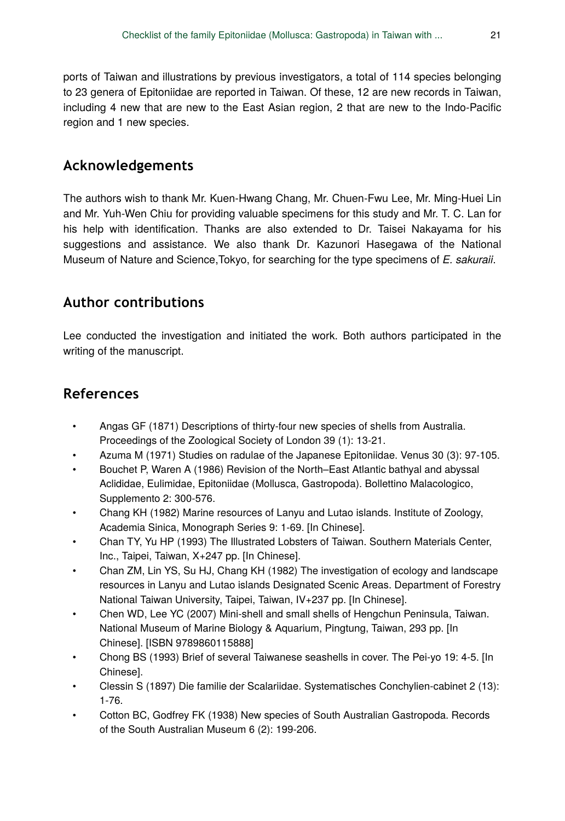ports of Taiwan and illustrations by previous investigators, a total of 114 species belonging to 23 genera of Epitoniidae are reported in Taiwan. Of these, 12 are new records in Taiwan, including 4 new that are new to the East Asian region, 2 that are new to the Indo-Pacific region and 1 new species.

## **Acknowledgements**

The authors wish to thank Mr. Kuen-Hwang Chang, Mr. Chuen-Fwu Lee, Mr. Ming-Huei Lin and Mr. Yuh-Wen Chiu for providing valuable specimens for this study and Mr. T. C. Lan for his help with identification. Thanks are also extended to Dr. Taisei Nakayama for his suggestions and assistance. We also thank Dr. Kazunori Hasegawa of the National Museum of Nature and Science,Tokyo, for searching for the type specimens of *E. sakuraii*.

## **Author contributions**

Lee conducted the investigation and initiated the work. Both authors participated in the writing of the manuscript.

## **References**

- Angas GF (1871) Descriptions of thirty-four new species of shells from Australia. Proceedings of the Zoological Society of London 39 (1): 13‑21.
- Azuma M (1971) Studies on radulae of the Japanese Epitoniidae. Venus 30 (3): 97‑105.
- Bouchet P, Waren A (1986) Revision of the North–East Atlantic bathyal and abyssal Aclididae, Eulimidae, Epitoniidae (Mollusca, Gastropoda). Bollettino Malacologico, Supplemento 2: 300‑576.
- Chang KH (1982) Marine resources of Lanyu and Lutao islands. Institute of Zoology, Academia Sinica, Monograph Series 9: 1‑69. [In Chinese].
- Chan TY, Yu HP (1993) The Illustrated Lobsters of Taiwan. Southern Materials Center, Inc., Taipei, Taiwan, X+247 pp. [In Chinese].
- Chan ZM, Lin YS, Su HJ, Chang KH (1982) The investigation of ecology and landscape resources in Lanyu and Lutao islands Designated Scenic Areas. Department of Forestry National Taiwan University, Taipei, Taiwan, IV+237 pp. [In Chinese].
- Chen WD, Lee YC (2007) Mini-shell and small shells of Hengchun Peninsula, Taiwan. National Museum of Marine Biology & Aquarium, Pingtung, Taiwan, 293 pp. [In Chinese]. [ISBN 9789860115888]
- Chong BS (1993) Brief of several Taiwanese seashells in cover. The Pei-yo 19: 4‑5. [In Chinese].
- Clessin S (1897) Die familie der Scalariidae. Systematisches Conchylien-cabinet 2 (13): 1‑76.
- Cotton BC, Godfrey FK (1938) New species of South Australian Gastropoda. Records of the South Australian Museum 6 (2): 199‑206.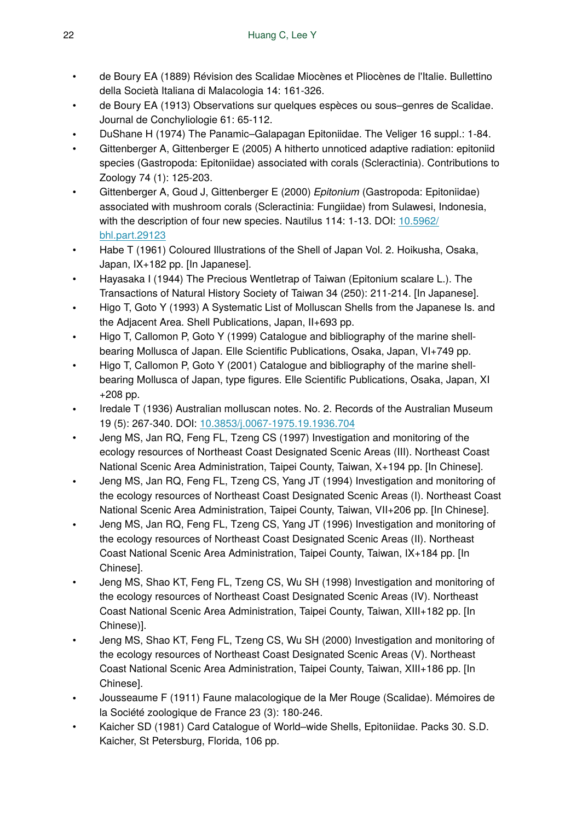- de Boury EA (1889) Révision des Scalidae Miocènes et Pliocènes de l'Italie. Bullettino della Società Italiana di Malacologia 14: 161‑326.
- de Boury EA (1913) Observations sur quelques espèces ou sous–genres de Scalidae. Journal de Conchyliologie 61: 65‑112.
- DuShane H (1974) The Panamic–Galapagan Epitoniidae. The Veliger 16 suppl.: 1‑84.
- Gittenberger A, Gittenberger E (2005) A hitherto unnoticed adaptive radiation: epitoniid species (Gastropoda: Epitoniidae) associated with corals (Scleractinia). Contributions to Zoology 74 (1): 125‑203.
- Gittenberger A, Goud J, Gittenberger E (2000) *Epitonium* (Gastropoda: Epitoniidae) associated with mushroom corals (Scleractinia: Fungiidae) from Sulawesi, Indonesia, with the description of four new species. Nautilus 114: 1-13. DOI: [10.5962/](http://dx.doi.org/10.5962/bhl.part.29123) [bhl.part.29123](http://dx.doi.org/10.5962/bhl.part.29123)
- Habe T (1961) Coloured Illustrations of the Shell of Japan Vol. 2. Hoikusha, Osaka, Japan, IX+182 pp. [In Japanese].
- Hayasaka I (1944) The Precious Wentletrap of Taiwan (Epitonium scalare L.). The Transactions of Natural History Society of Taiwan 34 (250): 211‑214. [In Japanese].
- Higo T, Goto Y (1993) A Systematic List of Molluscan Shells from the Japanese Is. and the Adjacent Area. Shell Publications, Japan, II+693 pp.
- Higo T, Callomon P, Goto Y (1999) Catalogue and bibliography of the marine shellbearing Mollusca of Japan. Elle Scientific Publications, Osaka, Japan, VI+749 pp.
- Higo T, Callomon P, Goto Y (2001) Catalogue and bibliography of the marine shellbearing Mollusca of Japan, type figures. Elle Scientific Publications, Osaka, Japan, XI +208 pp.
- Iredale T (1936) Australian molluscan notes. No. 2. Records of the Australian Museum 19 (5): 267‑340. DOI: [10.3853/j.0067-1975.19.1936.704](http://dx.doi.org/10.3853/j.0067-1975.19.1936.704)
- Jeng MS, Jan RQ, Feng FL, Tzeng CS (1997) Investigation and monitoring of the ecology resources of Northeast Coast Designated Scenic Areas (III). Northeast Coast National Scenic Area Administration, Taipei County, Taiwan, X+194 pp. [In Chinese].
- Jeng MS, Jan RQ, Feng FL, Tzeng CS, Yang JT (1994) Investigation and monitoring of the ecology resources of Northeast Coast Designated Scenic Areas (I). Northeast Coast National Scenic Area Administration, Taipei County, Taiwan, VII+206 pp. [In Chinese].
- Jeng MS, Jan RQ, Feng FL, Tzeng CS, Yang JT (1996) Investigation and monitoring of the ecology resources of Northeast Coast Designated Scenic Areas (II). Northeast Coast National Scenic Area Administration, Taipei County, Taiwan, IX+184 pp. [In Chinese].
- Jeng MS, Shao KT, Feng FL, Tzeng CS, Wu SH (1998) Investigation and monitoring of the ecology resources of Northeast Coast Designated Scenic Areas (IV). Northeast Coast National Scenic Area Administration, Taipei County, Taiwan, XIII+182 pp. [In Chinese)].
- Jeng MS, Shao KT, Feng FL, Tzeng CS, Wu SH (2000) Investigation and monitoring of the ecology resources of Northeast Coast Designated Scenic Areas (V). Northeast Coast National Scenic Area Administration, Taipei County, Taiwan, XIII+186 pp. [In Chinese].
- Jousseaume F (1911) Faune malacologique de la Mer Rouge (Scalidae). Mémoires de la Société zoologique de France 23 (3): 180-246.
- Kaicher SD (1981) Card Catalogue of World–wide Shells, Epitoniidae. Packs 30. S.D. Kaicher, St Petersburg, Florida, 106 pp.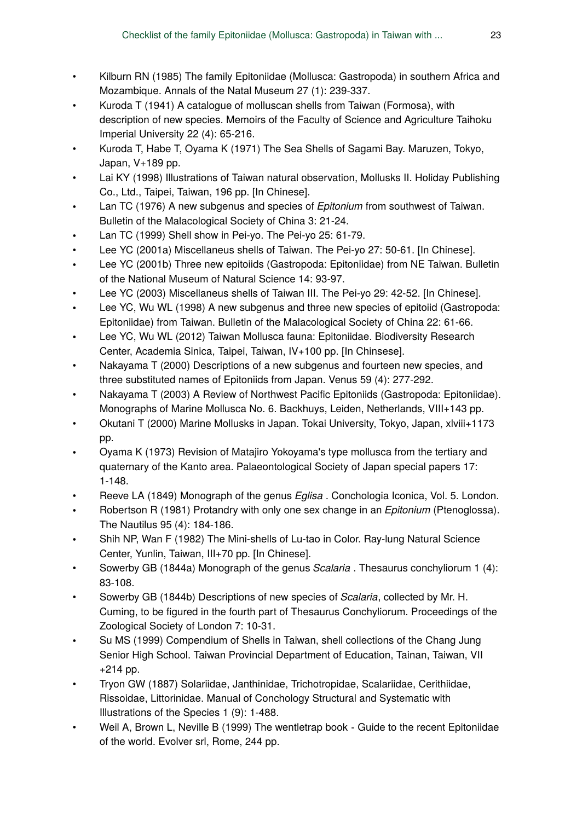- Kilburn RN (1985) The family Epitoniidae (Mollusca: Gastropoda) in southern Africa and Mozambique. Annals of the Natal Museum 27 (1): 239‑337.
- Kuroda T (1941) A catalogue of molluscan shells from Taiwan (Formosa), with description of new species. Memoirs of the Faculty of Science and Agriculture Taihoku Imperial University 22 (4): 65-216.
- Kuroda T, Habe T, Oyama K (1971) The Sea Shells of Sagami Bay. Maruzen, Tokyo, Japan, V+189 pp.
- Lai KY (1998) Illustrations of Taiwan natural observation, Mollusks II. Holiday Publishing Co., Ltd., Taipei, Taiwan, 196 pp. [In Chinese].
- Lan TC (1976) A new subgenus and species of *Epitonium* from southwest of Taiwan. Bulletin of the Malacological Society of China 3: 21‑24.
- Lan TC (1999) Shell show in Pei-yo. The Pei-yo 25: 61-79.
- Lee YC (2001a) Miscellaneus shells of Taiwan. The Pei-yo 27: 50‑61. [In Chinese].
- Lee YC (2001b) Three new epitoiids (Gastropoda: Epitoniidae) from NE Taiwan. Bulletin of the National Museum of Natural Science 14: 93‑97.
- Lee YC (2003) Miscellaneus shells of Taiwan III. The Pei-yo 29: 42‑52. [In Chinese].
- Lee YC, Wu WL (1998) A new subgenus and three new species of epitoiid (Gastropoda: Epitoniidae) from Taiwan. Bulletin of the Malacological Society of China 22: 61‑66.
- Lee YC, Wu WL (2012) Taiwan Mollusca fauna: Epitoniidae. Biodiversity Research Center, Academia Sinica, Taipei, Taiwan, IV+100 pp. [In Chinsese].
- Nakayama T (2000) Descriptions of a new subgenus and fourteen new species, and three substituted names of Epitoniids from Japan. Venus 59 (4): 277‑292.
- Nakayama T (2003) A Review of Northwest Pacific Epitoniids (Gastropoda: Epitoniidae). Monographs of Marine Mollusca No. 6. Backhuys, Leiden, Netherlands, VIII+143 pp.
- Okutani T (2000) Marine Mollusks in Japan. Tokai University, Tokyo, Japan, xlviii+1173 pp.
- Oyama K (1973) Revision of Matajiro Yokoyama's type mollusca from the tertiary and quaternary of the Kanto area. Palaeontological Society of Japan special papers 17: 1‑148.
- Reeve LA (1849) Monograph of the genus *Eglisa* . Conchologia Iconica, Vol. 5. London.
- Robertson R (1981) Protandry with only one sex change in an *Epitonium* (Ptenoglossa). The Nautilus 95 (4): 184‑186.
- Shih NP, Wan F (1982) The Mini-shells of Lu-tao in Color. Ray-lung Natural Science Center, Yunlin, Taiwan, III+70 pp. [In Chinese].
- Sowerby GB (1844a) Monograph of the genus *Scalaria* . Thesaurus conchyliorum 1 (4): 83‑108.
- Sowerby GB (1844b) Descriptions of new species of *Scalaria*, collected by Mr. H. Cuming, to be figured in the fourth part of Thesaurus Conchyliorum. Proceedings of the Zoological Society of London 7: 10‑31.
- Su MS (1999) Compendium of Shells in Taiwan, shell collections of the Chang Jung Senior High School. Taiwan Provincial Department of Education, Tainan, Taiwan, VII +214 pp.
- Tryon GW (1887) Solariidae, Janthinidae, Trichotropidae, Scalariidae, Cerithiidae, Rissoidae, Littorinidae. Manual of Conchology Structural and Systematic with Illustrations of the Species 1 (9): 1‑488.
- Weil A, Brown L, Neville B (1999) The wentletrap book-Guide to the recent Epitoniidae of the world. Evolver srl, Rome, 244 pp.